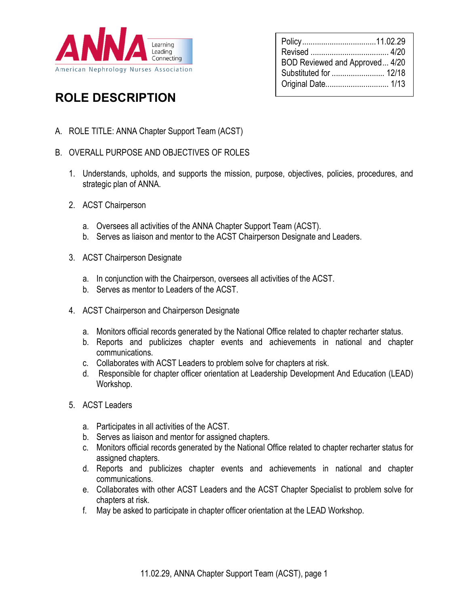

# ROLE DESCRIPTION

- A. ROLE TITLE: ANNA Chapter Support Team (ACST)
- B. OVERALL PURPOSE AND OBJECTIVES OF ROLES
	- 1. Understands, upholds, and supports the mission, purpose, objectives, policies, procedures, and strategic plan of ANNA.
	- 2. ACST Chairperson
		- a. Oversees all activities of the ANNA Chapter Support Team (ACST).
		- b. Serves as liaison and mentor to the ACST Chairperson Designate and Leaders.
	- 3. ACST Chairperson Designate
		- a. In conjunction with the Chairperson, oversees all activities of the ACST.
		- b. Serves as mentor to Leaders of the ACST.
	- 4. ACST Chairperson and Chairperson Designate
		- a. Monitors official records generated by the National Office related to chapter recharter status.
		- b. Reports and publicizes chapter events and achievements in national and chapter communications.
		- c. Collaborates with ACST Leaders to problem solve for chapters at risk.
		- d. Responsible for chapter officer orientation at Leadership Development And Education (LEAD) Workshop.
	- 5. ACST Leaders
		- a. Participates in all activities of the ACST.
		- b. Serves as liaison and mentor for assigned chapters.
		- c. Monitors official records generated by the National Office related to chapter recharter status for assigned chapters.
		- d. Reports and publicizes chapter events and achievements in national and chapter communications.
		- e. Collaborates with other ACST Leaders and the ACST Chapter Specialist to problem solve for chapters at risk.
		- f. May be asked to participate in chapter officer orientation at the LEAD Workshop.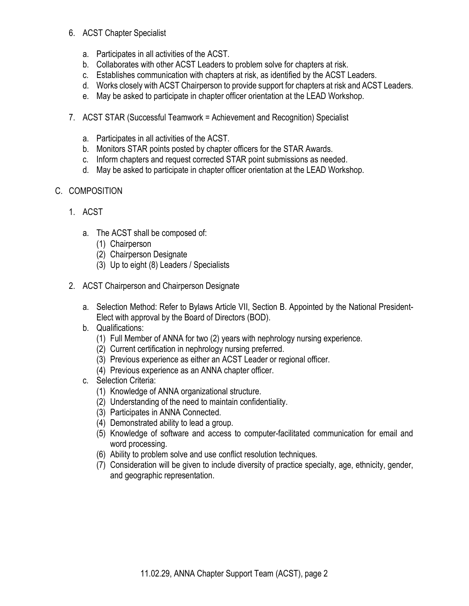#### 6. ACST Chapter Specialist

- a. Participates in all activities of the ACST.
- b. Collaborates with other ACST Leaders to problem solve for chapters at risk.
- c. Establishes communication with chapters at risk, as identified by the ACST Leaders.
- d. Works closely with ACST Chairperson to provide support for chapters at risk and ACST Leaders.
- e. May be asked to participate in chapter officer orientation at the LEAD Workshop.
- 7. ACST STAR (Successful Teamwork = Achievement and Recognition) Specialist
	- a. Participates in all activities of the ACST.
	- b. Monitors STAR points posted by chapter officers for the STAR Awards.
	- c. Inform chapters and request corrected STAR point submissions as needed.
	- d. May be asked to participate in chapter officer orientation at the LEAD Workshop.

# C. COMPOSITION

- 1. ACST
	- a. The ACST shall be composed of:
		- (1) Chairperson
		- (2) Chairperson Designate
		- (3) Up to eight (8) Leaders / Specialists
- 2. ACST Chairperson and Chairperson Designate
	- a. Selection Method: Refer to Bylaws Article VII, Section B. Appointed by the National President-Elect with approval by the Board of Directors (BOD).
	- b. Qualifications:
		- (1) Full Member of ANNA for two (2) years with nephrology nursing experience.
		- (2) Current certification in nephrology nursing preferred.
		- (3) Previous experience as either an ACST Leader or regional officer.
		- (4) Previous experience as an ANNA chapter officer.
	- c. Selection Criteria:
		- (1) Knowledge of ANNA organizational structure.
		- (2) Understanding of the need to maintain confidentiality.
		- (3) Participates in ANNA Connected.
		- (4) Demonstrated ability to lead a group.
		- (5) Knowledge of software and access to computer-facilitated communication for email and word processing.
		- (6) Ability to problem solve and use conflict resolution techniques.
		- (7) Consideration will be given to include diversity of practice specialty, age, ethnicity, gender, and geographic representation.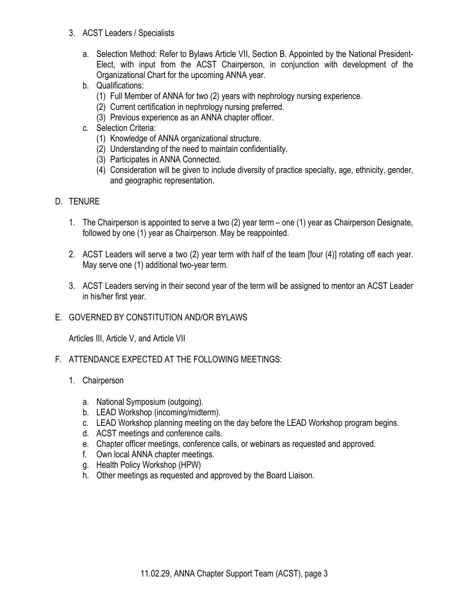- 3. ACST Leaders / Specialists
	- a. Selection Method: Refer to Bylaws Article VII, Section B. Appointed by the National President-Elect, with input from the ACST Chairperson, in conjunction with development of the Organizational Chart for the upcoming ANNA year.
	- b. Qualifications:
		- (1) Full Member of ANNA for two (2) years with nephrology nursing experience.
		- (2) Current certification in nephrology nursing preferred.
		- (3) Previous experience as an ANNA chapter officer.
	- c. Selection Criteria:
		- (1) Knowledge of ANNA organizational structure.
		- (2) Understanding of the need to maintain confidentiality.
		- (3) Participates in ANNA Connected.
		- (4) Consideration will be given to include diversity of practice specialty, age, ethnicity, gender, and geographic representation.

## D. TENURE

- 1. The Chairperson is appointed to serve a two (2) year term one (1) year as Chairperson Designate, followed by one (1) year as Chairperson. May be reappointed.
- 2. ACST Leaders will serve a two (2) year term with half of the team [four (4)] rotating off each year. May serve one (1) additional two-year term.
- 3. ACST Leaders serving in their second year of the term will be assigned to mentor an ACST Leader in his/her first year.
- E. GOVERNED BY CONSTITUTION AND/OR BYLAWS

Articles III, Article V, and Article VII

- F. ATTENDANCE EXPECTED AT THE FOLLOWING MEETINGS:
	- 1. Chairperson
		- a. National Symposium (outgoing).
		- b. LEAD Workshop (incoming/midterm).
		- c. LEAD Workshop planning meeting on the day before the LEAD Workshop program begins.
		- d. ACST meetings and conference calls.
		- e. Chapter officer meetings, conference calls, or webinars as requested and approved.
		- f. Own local ANNA chapter meetings.
		- g. Health Policy Workshop (HPW)
		- h. Other meetings as requested and approved by the Board Liaison.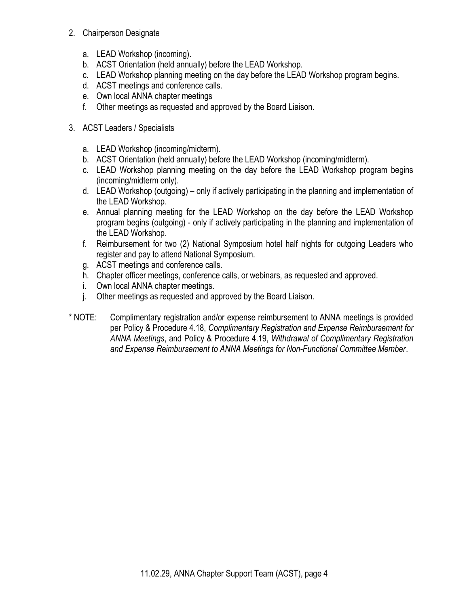- 2. Chairperson Designate
	- a. LEAD Workshop (incoming).
	- b. ACST Orientation (held annually) before the LEAD Workshop.
	- c. LEAD Workshop planning meeting on the day before the LEAD Workshop program begins.
	- d. ACST meetings and conference calls.
	- e. Own local ANNA chapter meetings
	- f. Other meetings as requested and approved by the Board Liaison.
- 3. ACST Leaders / Specialists
	- a. LEAD Workshop (incoming/midterm).
	- b. ACST Orientation (held annually) before the LEAD Workshop (incoming/midterm).
	- c. LEAD Workshop planning meeting on the day before the LEAD Workshop program begins (incoming/midterm only).
	- d. LEAD Workshop (outgoing) only if actively participating in the planning and implementation of the LEAD Workshop.
	- e. Annual planning meeting for the LEAD Workshop on the day before the LEAD Workshop program begins (outgoing) - only if actively participating in the planning and implementation of the LEAD Workshop.
	- f. Reimbursement for two (2) National Symposium hotel half nights for outgoing Leaders who register and pay to attend National Symposium.
	- g. ACST meetings and conference calls.
	- h. Chapter officer meetings, conference calls, or webinars, as requested and approved.
	- i. Own local ANNA chapter meetings.
	- j. Other meetings as requested and approved by the Board Liaison.
- \* NOTE: Complimentary registration and/or expense reimbursement to ANNA meetings is provided per Policy & Procedure 4.18, Complimentary Registration and Expense Reimbursement for ANNA Meetings, and Policy & Procedure 4.19, Withdrawal of Complimentary Registration and Expense Reimbursement to ANNA Meetings for Non-Functional Committee Member.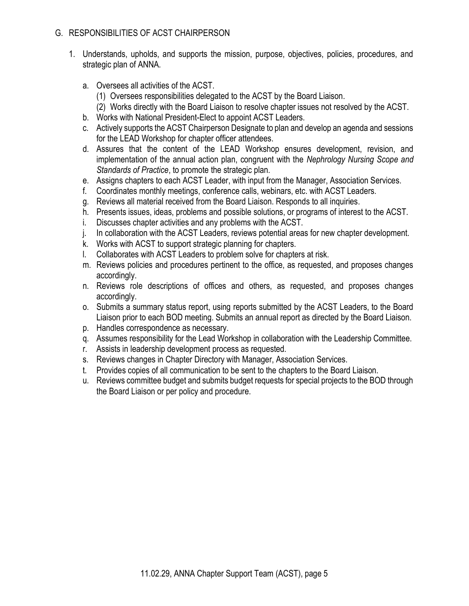### G. RESPONSIBILITIES OF ACST CHAIRPERSON

- 1. Understands, upholds, and supports the mission, purpose, objectives, policies, procedures, and strategic plan of ANNA.
	- a. Oversees all activities of the ACST.
		- (1) Oversees responsibilities delegated to the ACST by the Board Liaison.
		- (2) Works directly with the Board Liaison to resolve chapter issues not resolved by the ACST.
	- b. Works with National President-Elect to appoint ACST Leaders.
	- c. Actively supports the ACST Chairperson Designate to plan and develop an agenda and sessions for the LEAD Workshop for chapter officer attendees.
	- d. Assures that the content of the LEAD Workshop ensures development, revision, and implementation of the annual action plan, congruent with the Nephrology Nursing Scope and Standards of Practice, to promote the strategic plan.
	- e. Assigns chapters to each ACST Leader, with input from the Manager, Association Services.
	- f. Coordinates monthly meetings, conference calls, webinars, etc. with ACST Leaders.
	- g. Reviews all material received from the Board Liaison. Responds to all inquiries.
	- h. Presents issues, ideas, problems and possible solutions, or programs of interest to the ACST.
	- i. Discusses chapter activities and any problems with the ACST.
	- j. In collaboration with the ACST Leaders, reviews potential areas for new chapter development.
	- k. Works with ACST to support strategic planning for chapters.
	- l. Collaborates with ACST Leaders to problem solve for chapters at risk.
	- m. Reviews policies and procedures pertinent to the office, as requested, and proposes changes accordingly.
	- n. Reviews role descriptions of offices and others, as requested, and proposes changes accordingly.
	- o. Submits a summary status report, using reports submitted by the ACST Leaders, to the Board Liaison prior to each BOD meeting. Submits an annual report as directed by the Board Liaison.
	- p. Handles correspondence as necessary.
	- q. Assumes responsibility for the Lead Workshop in collaboration with the Leadership Committee.
	- r. Assists in leadership development process as requested.
	- s. Reviews changes in Chapter Directory with Manager, Association Services.
	- t. Provides copies of all communication to be sent to the chapters to the Board Liaison.
	- u. Reviews committee budget and submits budget requests for special projects to the BOD through the Board Liaison or per policy and procedure.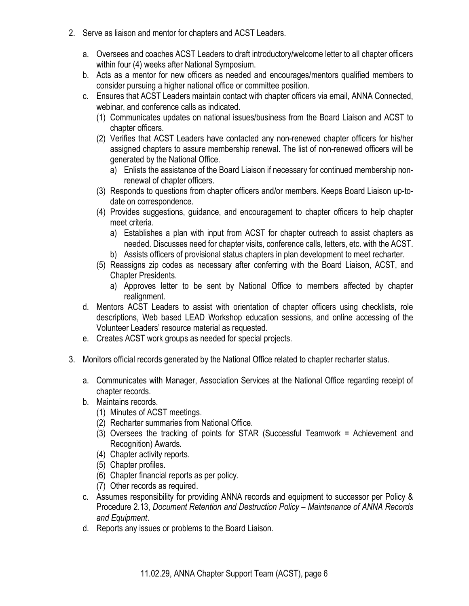- 2. Serve as liaison and mentor for chapters and ACST Leaders.
	- a. Oversees and coaches ACST Leaders to draft introductory/welcome letter to all chapter officers within four (4) weeks after National Symposium.
	- b. Acts as a mentor for new officers as needed and encourages/mentors qualified members to consider pursuing a higher national office or committee position.
	- c. Ensures that ACST Leaders maintain contact with chapter officers via email, ANNA Connected, webinar, and conference calls as indicated.
		- (1) Communicates updates on national issues/business from the Board Liaison and ACST to chapter officers.
		- (2) Verifies that ACST Leaders have contacted any non-renewed chapter officers for his/her assigned chapters to assure membership renewal. The list of non-renewed officers will be generated by the National Office.
			- a) Enlists the assistance of the Board Liaison if necessary for continued membership nonrenewal of chapter officers.
		- (3) Responds to questions from chapter officers and/or members. Keeps Board Liaison up-todate on correspondence.
		- (4) Provides suggestions, guidance, and encouragement to chapter officers to help chapter meet criteria.
			- a) Establishes a plan with input from ACST for chapter outreach to assist chapters as needed. Discusses need for chapter visits, conference calls, letters, etc. with the ACST.
			- b) Assists officers of provisional status chapters in plan development to meet recharter.
		- (5) Reassigns zip codes as necessary after conferring with the Board Liaison, ACST, and Chapter Presidents.
			- a) Approves letter to be sent by National Office to members affected by chapter realignment.
	- d. Mentors ACST Leaders to assist with orientation of chapter officers using checklists, role descriptions, Web based LEAD Workshop education sessions, and online accessing of the Volunteer Leaders' resource material as requested.
	- e. Creates ACST work groups as needed for special projects.
- 3. Monitors official records generated by the National Office related to chapter recharter status.
	- a. Communicates with Manager, Association Services at the National Office regarding receipt of chapter records.
	- b. Maintains records.
		- (1) Minutes of ACST meetings.
		- (2) Recharter summaries from National Office.
		- (3) Oversees the tracking of points for STAR (Successful Teamwork = Achievement and Recognition) Awards.
		- (4) Chapter activity reports.
		- (5) Chapter profiles.
		- (6) Chapter financial reports as per policy.
		- (7) Other records as required.
	- c. Assumes responsibility for providing ANNA records and equipment to successor per Policy & Procedure 2.13, Document Retention and Destruction Policy – Maintenance of ANNA Records and Equipment.
	- d. Reports any issues or problems to the Board Liaison.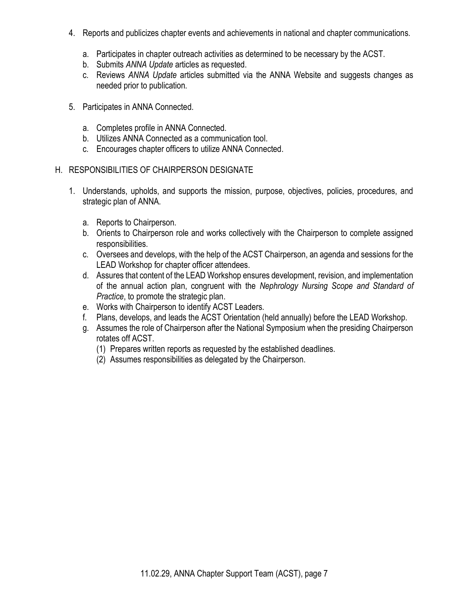- 4. Reports and publicizes chapter events and achievements in national and chapter communications.
	- a. Participates in chapter outreach activities as determined to be necessary by the ACST.
	- b. Submits ANNA Update articles as requested.
	- c. Reviews ANNA Update articles submitted via the ANNA Website and suggests changes as needed prior to publication.
- 5. Participates in ANNA Connected.
	- a. Completes profile in ANNA Connected.
	- b. Utilizes ANNA Connected as a communication tool.
	- c. Encourages chapter officers to utilize ANNA Connected.
- H. RESPONSIBILITIES OF CHAIRPERSON DESIGNATE
	- 1. Understands, upholds, and supports the mission, purpose, objectives, policies, procedures, and strategic plan of ANNA.
		- a. Reports to Chairperson.
		- b. Orients to Chairperson role and works collectively with the Chairperson to complete assigned responsibilities.
		- c. Oversees and develops, with the help of the ACST Chairperson, an agenda and sessions for the LEAD Workshop for chapter officer attendees.
		- d. Assures that content of the LEAD Workshop ensures development, revision, and implementation of the annual action plan, congruent with the Nephrology Nursing Scope and Standard of Practice, to promote the strategic plan.
		- e. Works with Chairperson to identify ACST Leaders.
		- f. Plans, develops, and leads the ACST Orientation (held annually) before the LEAD Workshop.
		- g. Assumes the role of Chairperson after the National Symposium when the presiding Chairperson rotates off ACST.
			- (1) Prepares written reports as requested by the established deadlines.
			- (2) Assumes responsibilities as delegated by the Chairperson.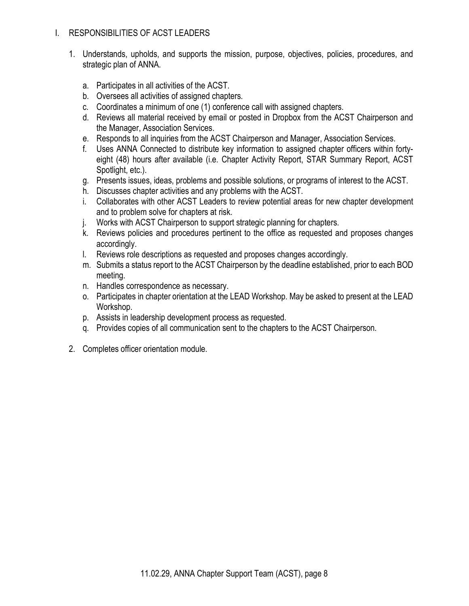## I. RESPONSIBILITIES OF ACST LEADERS

- 1. Understands, upholds, and supports the mission, purpose, objectives, policies, procedures, and strategic plan of ANNA.
	- a. Participates in all activities of the ACST.
	- b. Oversees all activities of assigned chapters.
	- c. Coordinates a minimum of one (1) conference call with assigned chapters.
	- d. Reviews all material received by email or posted in Dropbox from the ACST Chairperson and the Manager, Association Services.
	- e. Responds to all inquiries from the ACST Chairperson and Manager, Association Services.
	- f. Uses ANNA Connected to distribute key information to assigned chapter officers within fortyeight (48) hours after available (i.e. Chapter Activity Report, STAR Summary Report, ACST Spotlight, etc.).
	- g. Presents issues, ideas, problems and possible solutions, or programs of interest to the ACST.
	- h. Discusses chapter activities and any problems with the ACST.
	- i. Collaborates with other ACST Leaders to review potential areas for new chapter development and to problem solve for chapters at risk.
	- j. Works with ACST Chairperson to support strategic planning for chapters.
	- k. Reviews policies and procedures pertinent to the office as requested and proposes changes accordingly.
	- l. Reviews role descriptions as requested and proposes changes accordingly.
	- m. Submits a status report to the ACST Chairperson by the deadline established, prior to each BOD meeting.
	- n. Handles correspondence as necessary.
	- o. Participates in chapter orientation at the LEAD Workshop. May be asked to present at the LEAD Workshop.
	- p. Assists in leadership development process as requested.
	- q. Provides copies of all communication sent to the chapters to the ACST Chairperson.
- 2. Completes officer orientation module.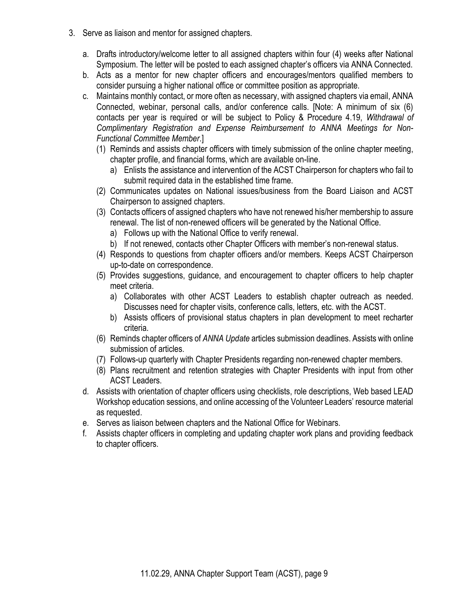- 3. Serve as liaison and mentor for assigned chapters.
	- a. Drafts introductory/welcome letter to all assigned chapters within four (4) weeks after National Symposium. The letter will be posted to each assigned chapter's officers via ANNA Connected.
	- b. Acts as a mentor for new chapter officers and encourages/mentors qualified members to consider pursuing a higher national office or committee position as appropriate.
	- c. Maintains monthly contact, or more often as necessary, with assigned chapters via email, ANNA Connected, webinar, personal calls, and/or conference calls. [Note: A minimum of six (6) contacts per year is required or will be subject to Policy & Procedure 4.19, Withdrawal of Complimentary Registration and Expense Reimbursement to ANNA Meetings for Non-Functional Committee Member.]
		- (1) Reminds and assists chapter officers with timely submission of the online chapter meeting, chapter profile, and financial forms, which are available on-line.
			- a) Enlists the assistance and intervention of the ACST Chairperson for chapters who fail to submit required data in the established time frame.
		- (2) Communicates updates on National issues/business from the Board Liaison and ACST Chairperson to assigned chapters.
		- (3) Contacts officers of assigned chapters who have not renewed his/her membership to assure renewal. The list of non-renewed officers will be generated by the National Office.
			- a) Follows up with the National Office to verify renewal.
			- b) If not renewed, contacts other Chapter Officers with member's non-renewal status.
		- (4) Responds to questions from chapter officers and/or members. Keeps ACST Chairperson up-to-date on correspondence.
		- (5) Provides suggestions, guidance, and encouragement to chapter officers to help chapter meet criteria.
			- a) Collaborates with other ACST Leaders to establish chapter outreach as needed. Discusses need for chapter visits, conference calls, letters, etc. with the ACST.
			- b) Assists officers of provisional status chapters in plan development to meet recharter criteria.
		- (6) Reminds chapter officers of ANNA Update articles submission deadlines. Assists with online submission of articles.
		- (7) Follows-up quarterly with Chapter Presidents regarding non-renewed chapter members.
		- (8) Plans recruitment and retention strategies with Chapter Presidents with input from other ACST Leaders.
	- d. Assists with orientation of chapter officers using checklists, role descriptions, Web based LEAD Workshop education sessions, and online accessing of the Volunteer Leaders' resource material as requested.
	- e. Serves as liaison between chapters and the National Office for Webinars.
	- f. Assists chapter officers in completing and updating chapter work plans and providing feedback to chapter officers.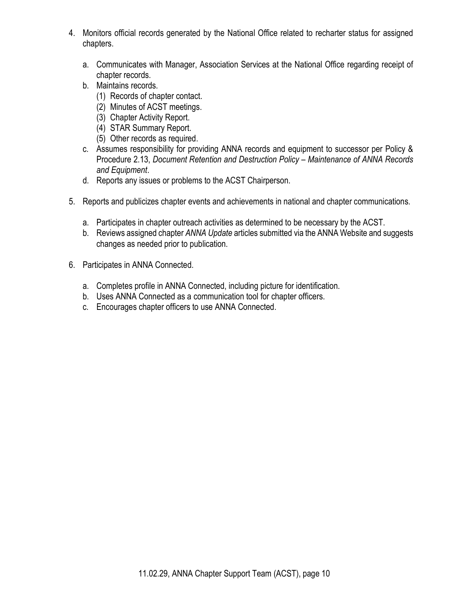- 4. Monitors official records generated by the National Office related to recharter status for assigned chapters.
	- a. Communicates with Manager, Association Services at the National Office regarding receipt of chapter records.
	- b. Maintains records.
		- (1) Records of chapter contact.
		- (2) Minutes of ACST meetings.
		- (3) Chapter Activity Report.
		- (4) STAR Summary Report.
		- (5) Other records as required.
	- c. Assumes responsibility for providing ANNA records and equipment to successor per Policy & Procedure 2.13, Document Retention and Destruction Policy – Maintenance of ANNA Records and Equipment.
	- d. Reports any issues or problems to the ACST Chairperson.
- 5. Reports and publicizes chapter events and achievements in national and chapter communications.
	- a. Participates in chapter outreach activities as determined to be necessary by the ACST.
	- b. Reviews assigned chapter ANNA Update articles submitted via the ANNA Website and suggests changes as needed prior to publication.
- 6. Participates in ANNA Connected.
	- a. Completes profile in ANNA Connected, including picture for identification.
	- b. Uses ANNA Connected as a communication tool for chapter officers.
	- c. Encourages chapter officers to use ANNA Connected.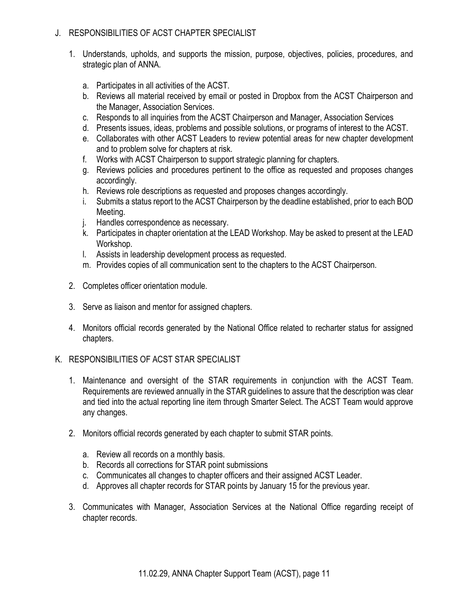## J. RESPONSIBILITIES OF ACST CHAPTER SPECIALIST

- 1. Understands, upholds, and supports the mission, purpose, objectives, policies, procedures, and strategic plan of ANNA.
	- a. Participates in all activities of the ACST.
	- b. Reviews all material received by email or posted in Dropbox from the ACST Chairperson and the Manager, Association Services.
	- c. Responds to all inquiries from the ACST Chairperson and Manager, Association Services
	- d. Presents issues, ideas, problems and possible solutions, or programs of interest to the ACST.
	- e. Collaborates with other ACST Leaders to review potential areas for new chapter development and to problem solve for chapters at risk.
	- f. Works with ACST Chairperson to support strategic planning for chapters.
	- g. Reviews policies and procedures pertinent to the office as requested and proposes changes accordingly.
	- h. Reviews role descriptions as requested and proposes changes accordingly.
	- i. Submits a status report to the ACST Chairperson by the deadline established, prior to each BOD Meeting.
	- j. Handles correspondence as necessary.
	- k. Participates in chapter orientation at the LEAD Workshop. May be asked to present at the LEAD Workshop.
	- l. Assists in leadership development process as requested.
	- m. Provides copies of all communication sent to the chapters to the ACST Chairperson.
- 2. Completes officer orientation module.
- 3. Serve as liaison and mentor for assigned chapters.
- 4. Monitors official records generated by the National Office related to recharter status for assigned chapters.

# K. RESPONSIBILITIES OF ACST STAR SPECIALIST

- 1. Maintenance and oversight of the STAR requirements in conjunction with the ACST Team. Requirements are reviewed annually in the STAR guidelines to assure that the description was clear and tied into the actual reporting line item through Smarter Select. The ACST Team would approve any changes.
- 2. Monitors official records generated by each chapter to submit STAR points.
	- a. Review all records on a monthly basis.
	- b. Records all corrections for STAR point submissions
	- c. Communicates all changes to chapter officers and their assigned ACST Leader.
	- d. Approves all chapter records for STAR points by January 15 for the previous year.
- 3. Communicates with Manager, Association Services at the National Office regarding receipt of chapter records.